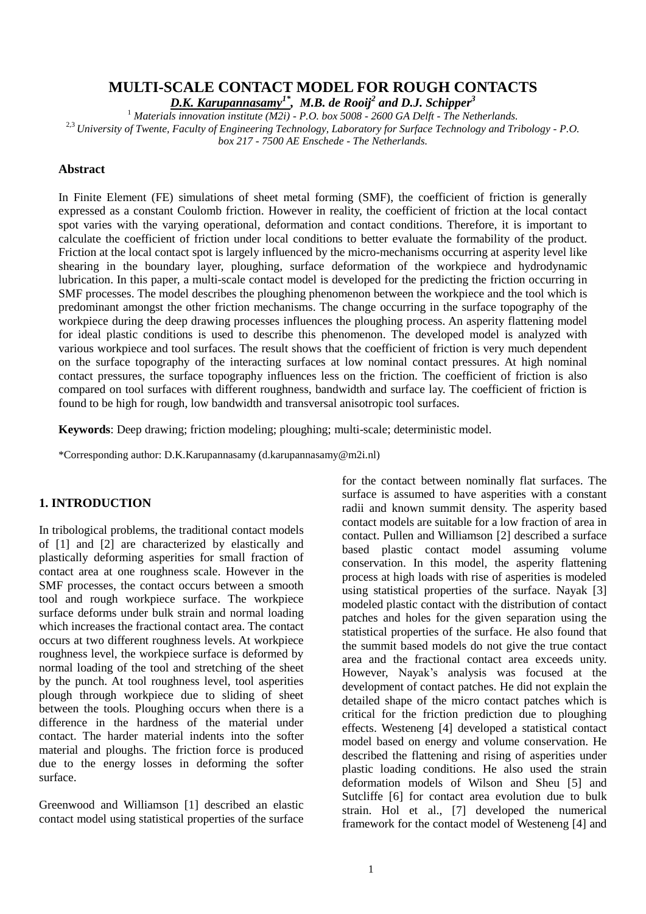# **MULTI-SCALE CONTACT MODEL FOR ROUGH CONTACTS**

*D.K. Karupannasamy1\* , M.B. de Rooij<sup>2</sup> and D.J. Schipper<sup>3</sup>*

<sup>1</sup> *Materials innovation institute (M2i) - P.O. box 5008 - 2600 GA Delft - The Netherlands.* 2,3 *University of Twente, Faculty of Engineering Technology, Laboratory for Surface Technology and Tribology - P.O. box 217 - 7500 AE Enschede - The Netherlands.*

# **Abstract**

In Finite Element (FE) simulations of sheet metal forming (SMF), the coefficient of friction is generally expressed as a constant Coulomb friction. However in reality, the coefficient of friction at the local contact spot varies with the varying operational, deformation and contact conditions. Therefore, it is important to calculate the coefficient of friction under local conditions to better evaluate the formability of the product. Friction at the local contact spot is largely influenced by the micro-mechanisms occurring at asperity level like shearing in the boundary layer, ploughing, surface deformation of the workpiece and hydrodynamic lubrication. In this paper, a multi-scale contact model is developed for the predicting the friction occurring in SMF processes. The model describes the ploughing phenomenon between the workpiece and the tool which is predominant amongst the other friction mechanisms. The change occurring in the surface topography of the workpiece during the deep drawing processes influences the ploughing process. An asperity flattening model for ideal plastic conditions is used to describe this phenomenon. The developed model is analyzed with various workpiece and tool surfaces. The result shows that the coefficient of friction is very much dependent on the surface topography of the interacting surfaces at low nominal contact pressures. At high nominal contact pressures, the surface topography influences less on the friction. The coefficient of friction is also compared on tool surfaces with different roughness, bandwidth and surface lay. The coefficient of friction is found to be high for rough, low bandwidth and transversal anisotropic tool surfaces.

**Keywords**: Deep drawing; friction modeling; ploughing; multi-scale; deterministic model.

\*Corresponding author: D.K.Karupannasamy (d.karupannasamy@m2i.nl)

# **1. INTRODUCTION**

In tribological problems, the traditional contact models of [1] and [2] are characterized by elastically and plastically deforming asperities for small fraction of contact area at one roughness scale. However in the SMF processes, the contact occurs between a smooth tool and rough workpiece surface. The workpiece surface deforms under bulk strain and normal loading which increases the fractional contact area. The contact occurs at two different roughness levels. At workpiece roughness level, the workpiece surface is deformed by normal loading of the tool and stretching of the sheet by the punch. At tool roughness level, tool asperities plough through workpiece due to sliding of sheet between the tools. Ploughing occurs when there is a difference in the hardness of the material under contact. The harder material indents into the softer material and ploughs. The friction force is produced due to the energy losses in deforming the softer surface.

Greenwood and Williamson [1] described an elastic contact model using statistical properties of the surface

for the contact between nominally flat surfaces. The surface is assumed to have asperities with a constant radii and known summit density. The asperity based contact models are suitable for a low fraction of area in contact. Pullen and Williamson [2] described a surface based plastic contact model assuming volume conservation. In this model, the asperity flattening process at high loads with rise of asperities is modeled using statistical properties of the surface. Nayak [3] modeled plastic contact with the distribution of contact patches and holes for the given separation using the statistical properties of the surface. He also found that the summit based models do not give the true contact area and the fractional contact area exceeds unity. However, Nayak's analysis was focused at the development of contact patches. He did not explain the detailed shape of the micro contact patches which is critical for the friction prediction due to ploughing effects. Westeneng [4] developed a statistical contact model based on energy and volume conservation. He described the flattening and rising of asperities under plastic loading conditions. He also used the strain deformation models of Wilson and Sheu [5] and Sutcliffe [6] for contact area evolution due to bulk strain. Hol et al., [7] developed the numerical framework for the contact model of Westeneng [4] and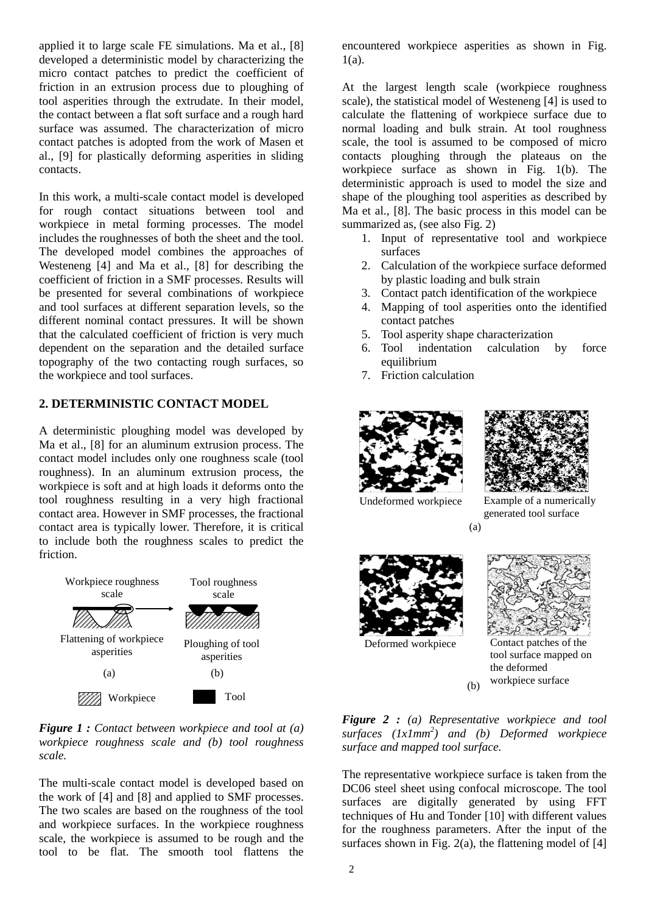applied it to large scale FE simulations. Ma et al., [8] developed a deterministic model by characterizing the micro contact patches to predict the coefficient of friction in an extrusion process due to ploughing of tool asperities through the extrudate. In their model, the contact between a flat soft surface and a rough hard surface was assumed. The characterization of micro contact patches is adopted from the work of Masen et al., [9] for plastically deforming asperities in sliding contacts.

In this work, a multi-scale contact model is developed for rough contact situations between tool and workpiece in metal forming processes. The model includes the roughnesses of both the sheet and the tool. The developed model combines the approaches of Westeneng [4] and Ma et al., [8] for describing the coefficient of friction in a SMF processes. Results will be presented for several combinations of workpiece and tool surfaces at different separation levels, so the different nominal contact pressures. It will be shown that the calculated coefficient of friction is very much dependent on the separation and the detailed surface topography of the two contacting rough surfaces, so the workpiece and tool surfaces.

# **2. DETERMINISTIC CONTACT MODEL**

A deterministic ploughing model was developed by Ma et al., [8] for an aluminum extrusion process. The contact model includes only one roughness scale (tool roughness). In an aluminum extrusion process, the workpiece is soft and at high loads it deforms onto the tool roughness resulting in a very high fractional contact area. However in SMF processes, the fractional contact area is typically lower. Therefore, it is critical to include both the roughness scales to predict the friction.



*Figure 1 : Contact between workpiece and tool at (a) workpiece roughness scale and (b) tool roughness scale.*

The multi-scale contact model is developed based on the work of [4] and [8] and applied to SMF processes. The two scales are based on the roughness of the tool and workpiece surfaces. In the workpiece roughness scale, the workpiece is assumed to be rough and the tool to be flat. The smooth tool flattens the encountered workpiece asperities as shown in Fig. 1(a).

At the largest length scale (workpiece roughness scale), the statistical model of Westeneng [4] is used to calculate the flattening of workpiece surface due to normal loading and bulk strain. At tool roughness scale, the tool is assumed to be composed of micro contacts ploughing through the plateaus on the workpiece surface as shown in Fig. 1(b). The deterministic approach is used to model the size and shape of the ploughing tool asperities as described by Ma et al., [8]. The basic process in this model can be summarized as, (see also Fig. 2)

- 1. Input of representative tool and workpiece surfaces
- 2. Calculation of the workpiece surface deformed by plastic loading and bulk strain
- 3. Contact patch identification of the workpiece
- 4. Mapping of tool asperities onto the identified contact patches
- 5. Tool asperity shape characterization
- 6. Tool indentation calculation by force equilibrium
- 7. Friction calculation





Undeformed workpiece

(a) Example of a numerically generated tool surface



Deformed workpiece Contact patches of the tool surface mapped on the deformed workpiece surface

*Figure 2 : (a) Representative workpiece and tool surfaces (1x1mm<sup>2</sup> ) and (b) Deformed workpiece surface and mapped tool surface.*

(b)

The representative workpiece surface is taken from the DC06 steel sheet using confocal microscope. The tool surfaces are digitally generated by using FFT techniques of Hu and Tonder [10] with different values for the roughness parameters. After the input of the surfaces shown in Fig.  $2(a)$ , the flattening model of [4]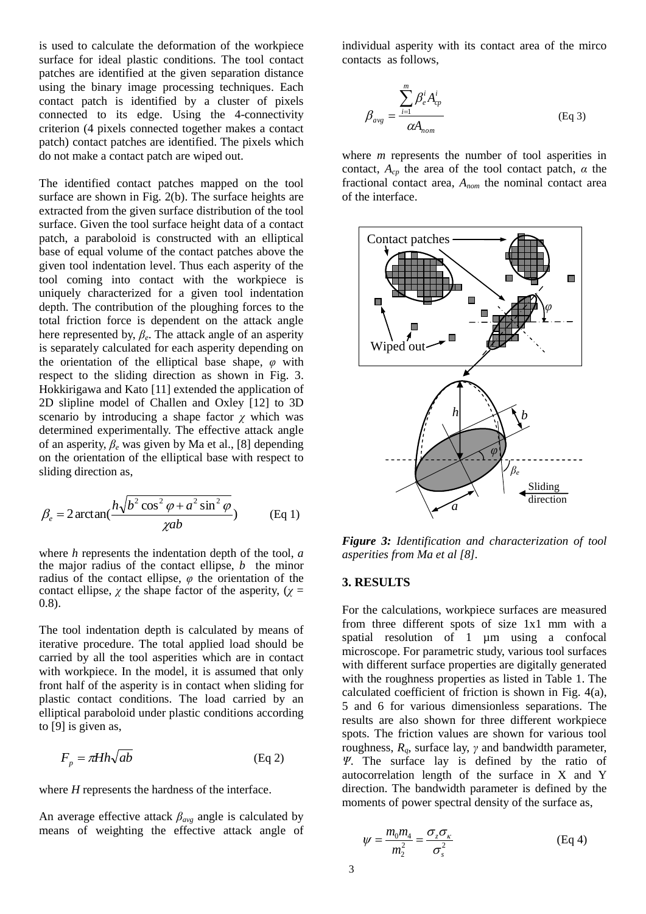is used to calculate the deformation of the workpiece surface for ideal plastic conditions. The tool contact patches are identified at the given separation distance using the binary image processing techniques. Each contact patch is identified by a cluster of pixels connected to its edge. Using the 4-connectivity criterion (4 pixels connected together makes a contact patch) contact patches are identified. The pixels which do not make a contact patch are wiped out.

The identified contact patches mapped on the tool surface are shown in Fig. 2(b). The surface heights are extracted from the given surface distribution of the tool surface. Given the tool surface height data of a contact patch, a paraboloid is constructed with an elliptical base of equal volume of the contact patches above the given tool indentation level. Thus each asperity of the tool coming into contact with the workpiece is uniquely characterized for a given tool indentation depth. The contribution of the ploughing forces to the total friction force is dependent on the attack angle here represented by, *β<sup>e</sup>* . The attack angle of an asperity is separately calculated for each asperity depending on the orientation of the elliptical base shape, *φ* with respect to the sliding direction as shown in Fig. 3. Hokkirigawa and Kato [11] extended the application of 2D slipline model of Challen and Oxley [12] to 3D scenario by introducing a shape factor  $\chi$  which was determined experimentally. The effective attack angle of an asperity, *β<sup>e</sup>* was given by Ma et al., [8] depending on the orientation of the elliptical base with respect to sliding direction as,

$$
\beta_e = 2 \arctan(\frac{h\sqrt{b^2 \cos^2 \varphi + a^2 \sin^2 \varphi}}{\chi ab})
$$
 (Eq 1)

where *h* represents the indentation depth of the tool, *a* the major radius of the contact ellipse, *b* the minor radius of the contact ellipse, *φ* the orientation of the contact ellipse,  $\chi$  the shape factor of the asperity, ( $\chi$  = 0.8).

The tool indentation depth is calculated by means of iterative procedure. The total applied load should be carried by all the tool asperities which are in contact with workpiece. In the model, it is assumed that only front half of the asperity is in contact when sliding for plastic contact conditions. The load carried by an elliptical paraboloid under plastic conditions according to [9] is given as,

$$
F_p = \pi H h \sqrt{ab} \tag{Eq 2}
$$

where *H* represents the hardness of the interface.

An average effective attack *βavg* angle is calculated by means of weighting the effective attack angle of individual asperity with its contact area of the mirco contacts as follows,

$$
\beta_{avg} = \frac{\sum_{i=1}^{m} \beta_e^i A_{cp}^i}{\alpha A_{nom}}
$$
(Eq 3)

where *m* represents the number of tool asperities in contact, *Acp* the area of the tool contact patch, *α* the fractional contact area, *Anom* the nominal contact area of the interface.



*Figure 3: Identification and characterization of tool asperities from Ma et al [8].*

#### **3. RESULTS**

For the calculations, workpiece surfaces are measured from three different spots of size 1x1 mm with a spatial resolution of 1 µm using a confocal microscope. For parametric study, various tool surfaces with different surface properties are digitally generated with the roughness properties as listed in Table 1. The calculated coefficient of friction is shown in Fig. 4(a), 5 and 6 for various dimensionless separations. The results are also shown for three different workpiece spots. The friction values are shown for various tool roughness, *Rq*, surface lay, *γ* and bandwidth parameter, *Ψ*. The surface lay is defined by the ratio of autocorrelation length of the surface in X and Y direction. The bandwidth parameter is defined by the moments of power spectral density of the surface as,

$$
\psi = \frac{m_0 m_4}{m_2^2} = \frac{\sigma_z \sigma_x}{\sigma_s^2}
$$
 (Eq 4)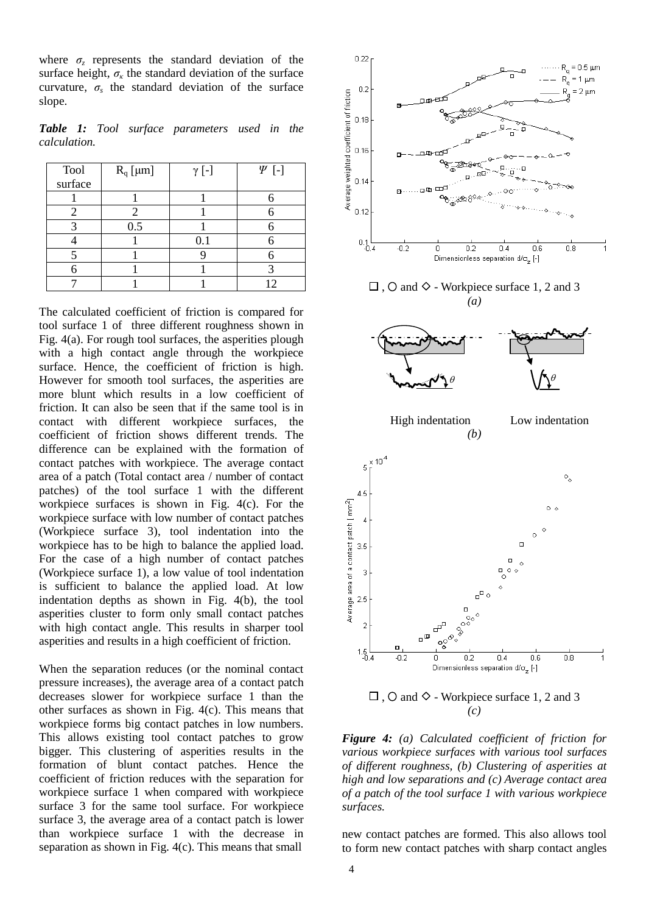where  $\sigma_z$  represents the standard deviation of the surface height,  $\sigma_k$  the standard deviation of the surface curvature,  $\sigma_s$  the standard deviation of the surface slope.

*Table 1: Tool surface parameters used in the calculation.*

| <b>Tool</b> | $R_q$ [µm] | $\gamma$ [-] | $\Psi$ [-] |
|-------------|------------|--------------|------------|
| surface     |            |              |            |
|             |            |              |            |
|             | 2          |              |            |
|             | 0.5        |              |            |
|             |            | 0.1          |            |
|             |            |              |            |
|             |            |              |            |
|             |            |              |            |

The calculated coefficient of friction is compared for tool surface 1 of three different roughness shown in Fig. 4(a). For rough tool surfaces, the asperities plough with a high contact angle through the workpiece surface. Hence, the coefficient of friction is high. However for smooth tool surfaces, the asperities are more blunt which results in a low coefficient of friction. It can also be seen that if the same tool is in contact with different workpiece surfaces, the coefficient of friction shows different trends. The difference can be explained with the formation of contact patches with workpiece. The average contact area of a patch (Total contact area / number of contact patches) of the tool surface 1 with the different workpiece surfaces is shown in Fig. 4(c). For the workpiece surface with low number of contact patches (Workpiece surface 3), tool indentation into the workpiece has to be high to balance the applied load. For the case of a high number of contact patches (Workpiece surface 1), a low value of tool indentation is sufficient to balance the applied load. At low indentation depths as shown in Fig. 4(b), the tool asperities cluster to form only small contact patches with high contact angle. This results in sharper tool asperities and results in a high coefficient of friction.

When the separation reduces (or the nominal contact pressure increases), the average area of a contact patch decreases slower for workpiece surface 1 than the other surfaces as shown in Fig. 4(c). This means that workpiece forms big contact patches in low numbers. This allows existing tool contact patches to grow bigger. This clustering of asperities results in the formation of blunt contact patches. Hence the coefficient of friction reduces with the separation for workpiece surface 1 when compared with workpiece surface 3 for the same tool surface. For workpiece surface 3, the average area of a contact patch is lower than workpiece surface 1 with the decrease in separation as shown in Fig. 4(c). This means that small





 $\Box$ ,  $\bigcirc$  and  $\diamond$  - Workpiece surface 1, 2 and 3 *(c)*

*Figure 4: (a) Calculated coefficient of friction for various workpiece surfaces with various tool surfaces of different roughness, (b) Clustering of asperities at high and low separations and (c) Average contact area of a patch of the tool surface 1 with various workpiece surfaces.*

new contact patches are formed. This also allows tool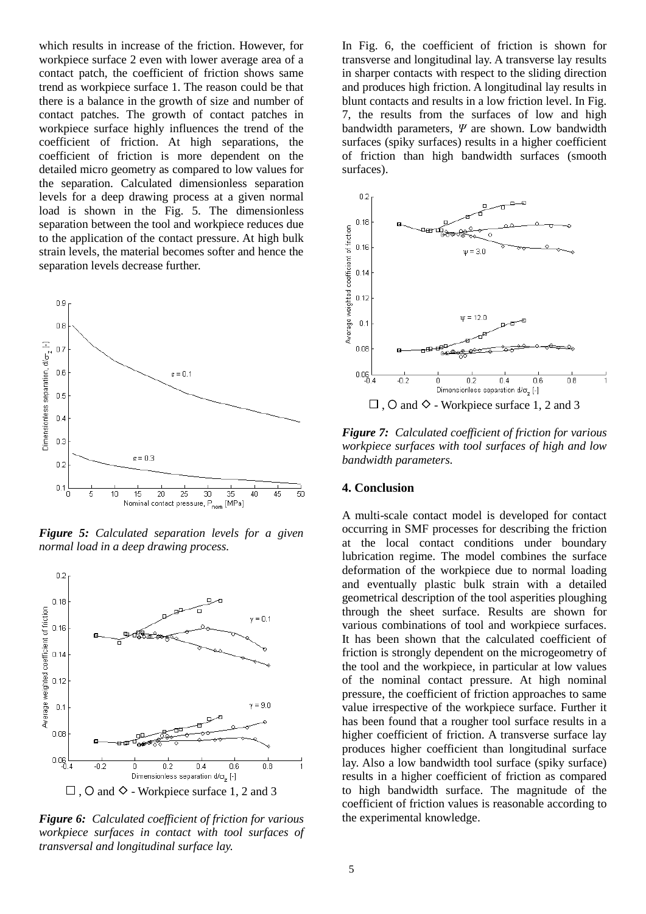which results in increase of the friction. However, for workpiece surface 2 even with lower average area of a contact patch, the coefficient of friction shows same trend as workpiece surface 1. The reason could be that there is a balance in the growth of size and number of contact patches. The growth of contact patches in workpiece surface highly influences the trend of the coefficient of friction. At high separations, the coefficient of friction is more dependent on the detailed micro geometry as compared to low values for the separation. Calculated dimensionless separation levels for a deep drawing process at a given normal load is shown in the Fig. 5. The dimensionless separation between the tool and workpiece reduces due to the application of the contact pressure. At high bulk strain levels, the material becomes softer and hence the separation levels decrease further.



*Figure 5: Calculated separation levels for a given normal load in a deep drawing process.*



*Figure 6: Calculated coefficient of friction for various workpiece surfaces in contact with tool surfaces of transversal and longitudinal surface lay.*

In Fig. 6, the coefficient of friction is shown for transverse and longitudinal lay. A transverse lay results in sharper contacts with respect to the sliding direction and produces high friction. A longitudinal lay results in blunt contacts and results in a low friction level. In Fig. 7, the results from the surfaces of low and high bandwidth parameters, *Ψ* are shown. Low bandwidth surfaces (spiky surfaces) results in a higher coefficient of friction than high bandwidth surfaces (smooth surfaces).



*Figure 7: Calculated coefficient of friction for various workpiece surfaces with tool surfaces of high and low bandwidth parameters.*

# **4. Conclusion**

A multi-scale contact model is developed for contact occurring in SMF processes for describing the friction at the local contact conditions under boundary lubrication regime. The model combines the surface deformation of the workpiece due to normal loading and eventually plastic bulk strain with a detailed geometrical description of the tool asperities ploughing through the sheet surface. Results are shown for various combinations of tool and workpiece surfaces. It has been shown that the calculated coefficient of friction is strongly dependent on the microgeometry of the tool and the workpiece, in particular at low values of the nominal contact pressure. At high nominal pressure, the coefficient of friction approaches to same value irrespective of the workpiece surface. Further it has been found that a rougher tool surface results in a higher coefficient of friction. A transverse surface lay produces higher coefficient than longitudinal surface lay. Also a low bandwidth tool surface (spiky surface) results in a higher coefficient of friction as compared to high bandwidth surface. The magnitude of the coefficient of friction values is reasonable according to the experimental knowledge.